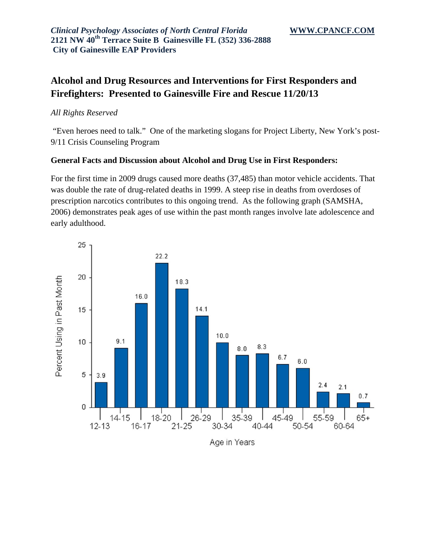# **Alcohol and Drug Resources and Interventions for First Responders and Firefighters: Presented to Gainesville Fire and Rescue 11/20/13**

### *All Rights Reserved*

 "Even heroes need to talk." One of the marketing slogans for Project Liberty, New York's post-9/11 Crisis Counseling Program

### **General Facts and Discussion about Alcohol and Drug Use in First Responders:**

For the first time in 2009 drugs caused more deaths (37,485) than motor vehicle accidents. That was double the rate of drug-related deaths in 1999. A steep rise in deaths from overdoses of prescription narcotics contributes to this ongoing trend. As the following graph (SAMSHA, 2006) demonstrates peak ages of use within the past month ranges involve late adolescence and early adulthood.

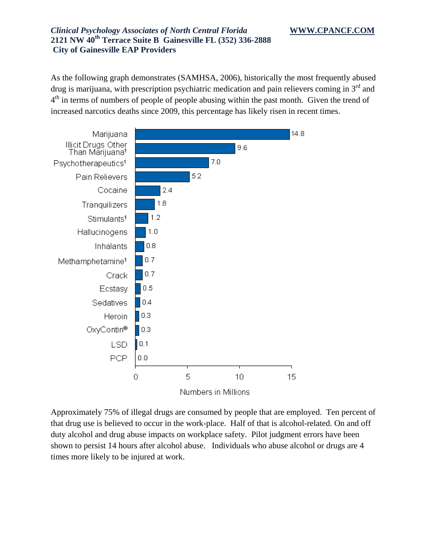As the following graph demonstrates (SAMHSA, 2006), historically the most frequently abused drug is marijuana, with prescription psychiatric medication and pain relievers coming in  $3<sup>rd</sup>$  and  $4<sup>th</sup>$  in terms of numbers of people of people abusing within the past month. Given the trend of increased narcotics deaths since 2009, this percentage has likely risen in recent times.



Approximately 75% of illegal drugs are consumed by people that are employed. Ten percent of that drug use is believed to occur in the work-place. Half of that is alcohol-related. On and off duty alcohol and drug abuse impacts on workplace safety. Pilot judgment errors have been shown to persist 14 hours after alcohol abuse. Individuals who abuse alcohol or drugs are 4 times more likely to be injured at work.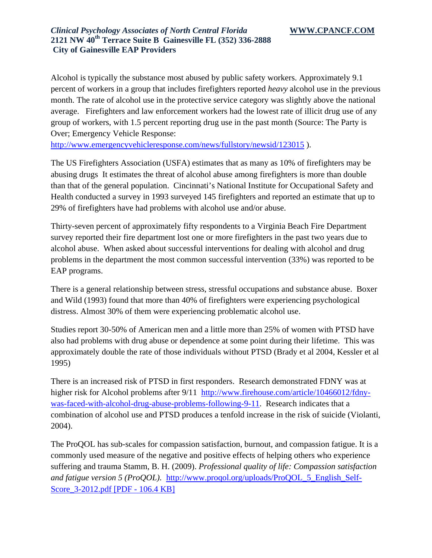Alcohol is typically the substance most abused by public safety workers. Approximately 9.1 percent of workers in a group that includes firefighters reported *heavy* alcohol use in the previous month. The rate of alcohol use in the protective service category was slightly above the national average. Firefighters and law enforcement workers had the lowest rate of illicit drug use of any group of workers, with 1.5 percent reporting drug use in the past month (Source: The Party is Over; Emergency Vehicle Response:

http://www.emergencyvehicleresponse.com/news/fullstory/newsid/123015 ).

The US Firefighters Association (USFA) estimates that as many as 10% of firefighters may be abusing drugs It estimates the threat of alcohol abuse among firefighters is more than double than that of the general population. Cincinnati's National Institute for Occupational Safety and Health conducted a survey in 1993 surveyed 145 firefighters and reported an estimate that up to 29% of firefighters have had problems with alcohol use and/or abuse.

Thirty-seven percent of approximately fifty respondents to a Virginia Beach Fire Department survey reported their fire department lost one or more firefighters in the past two years due to alcohol abuse. When asked about successful interventions for dealing with alcohol and drug problems in the department the most common successful intervention (33%) was reported to be EAP programs.

There is a general relationship between stress, stressful occupations and substance abuse. Boxer and Wild (1993) found that more than 40% of firefighters were experiencing psychological distress. Almost 30% of them were experiencing problematic alcohol use.

Studies report 30-50% of American men and a little more than 25% of women with PTSD have also had problems with drug abuse or dependence at some point during their lifetime. This was approximately double the rate of those individuals without PTSD (Brady et al 2004, Kessler et al 1995)

There is an increased risk of PTSD in first responders. Research demonstrated FDNY was at higher risk for Alcohol problems after 9/11 http://www.firehouse.com/article/10466012/fdnywas-faced-with-alcohol-drug-abuse-problems-following-9-11. Research indicates that a combination of alcohol use and PTSD produces a tenfold increase in the risk of suicide (Violanti, 2004).

The ProQOL has sub-scales for compassion satisfaction, burnout, and compassion fatigue. It is a commonly used measure of the negative and positive effects of helping others who experience suffering and trauma Stamm, B. H. (2009). *Professional quality of life: Compassion satisfaction and fatigue version 5 (ProQOL).* http://www.proqol.org/uploads/ProQOL\_5\_English\_Self-Score\_3-2012.pdf [PDF - 106.4 KB]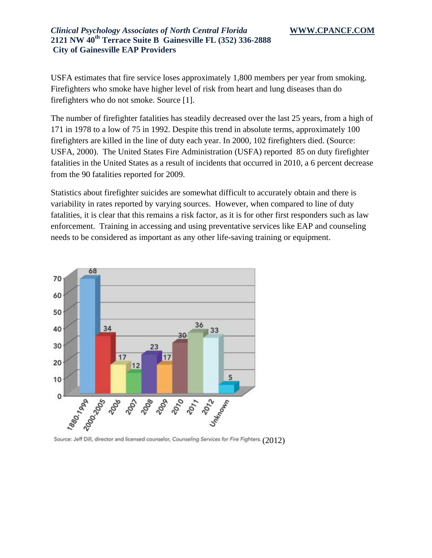USFA estimates that fire service loses approximately 1,800 members per year from smoking. Firefighters who smoke have higher level of risk from heart and lung diseases than do firefighters who do not smoke. Source [1].

The number of firefighter fatalities has steadily decreased over the last 25 years, from a high of 171 in 1978 to a low of 75 in 1992. Despite this trend in absolute terms, approximately 100 firefighters are killed in the line of duty each year. In 2000, 102 firefighters died. (Source: USFA, 2000). The United States Fire Administration (USFA) reported 85 on duty firefighter fatalities in the United States as a result of incidents that occurred in 2010, a 6 percent decrease from the 90 fatalities reported for 2009.

Statistics about firefighter suicides are somewhat difficult to accurately obtain and there is variability in rates reported by varying sources. However, when compared to line of duty fatalities, it is clear that this remains a risk factor, as it is for other first responders such as law enforcement. Training in accessing and using preventative services like EAP and counseling needs to be considered as important as any other life-saving training or equipment.



Source: Jeff Dill, director and licensed counselor, Counseling Services for Fire Fighters. (2012)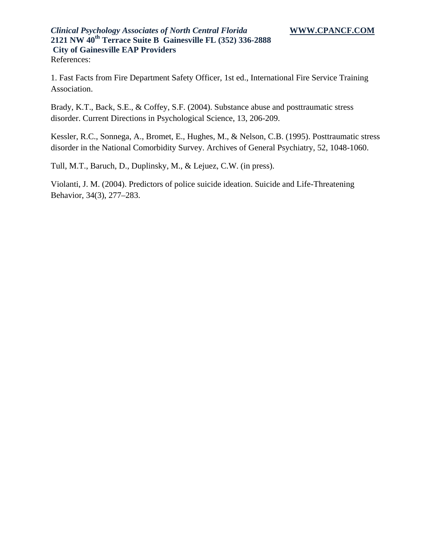1. Fast Facts from Fire Department Safety Officer, 1st ed., International Fire Service Training Association.

Brady, K.T., Back, S.E., & Coffey, S.F. (2004). Substance abuse and posttraumatic stress disorder. Current Directions in Psychological Science, 13, 206-209.

Kessler, R.C., Sonnega, A., Bromet, E., Hughes, M., & Nelson, C.B. (1995). Posttraumatic stress disorder in the National Comorbidity Survey. Archives of General Psychiatry, 52, 1048-1060.

Tull, M.T., Baruch, D., Duplinsky, M., & Lejuez, C.W. (in press).

Violanti, J. M. (2004). Predictors of police suicide ideation. Suicide and Life-Threatening Behavior, 34(3), 277–283.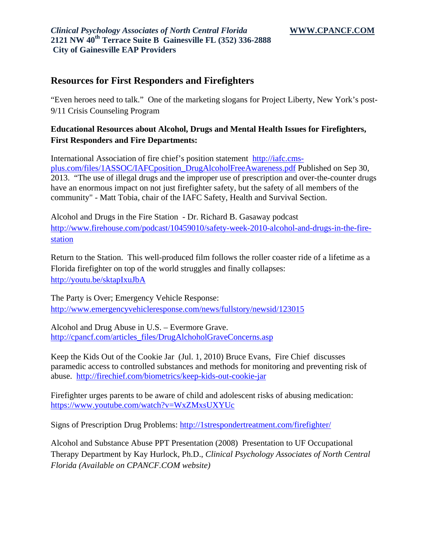## **Resources for First Responders and Firefighters**

"Even heroes need to talk." One of the marketing slogans for Project Liberty, New York's post-9/11 Crisis Counseling Program

## **Educational Resources about Alcohol, Drugs and Mental Health Issues for Firefighters, First Responders and Fire Departments:**

International Association of fire chief's position statement http://iafc.cmsplus.com/files/1ASSOC/IAFCposition\_DrugAlcoholFreeAwareness.pdf Published on Sep 30, 2013. "The use of illegal drugs and the improper use of prescription and over-the-counter drugs have an enormous impact on not just firefighter safety, but the safety of all members of the community" - Matt Tobia, chair of the IAFC Safety, Health and Survival Section.

Alcohol and Drugs in the Fire Station - Dr. Richard B. Gasaway podcast http://www.firehouse.com/podcast/10459010/safety-week-2010-alcohol-and-drugs-in-the-firestation

Return to the Station. This well-produced film follows the roller coaster ride of a lifetime as a Florida firefighter on top of the world struggles and finally collapses: http://youtu.be/sktapIxuJbA

The Party is Over; Emergency Vehicle Response: http://www.emergencyvehicleresponse.com/news/fullstory/newsid/123015

Alcohol and Drug Abuse in U.S. – Evermore Grave. http://cpancf.com/articles\_files/DrugAlchoholGraveConcerns.asp

Keep the Kids Out of the Cookie Jar (Jul. 1, 2010) Bruce Evans, Fire Chief discusses paramedic access to controlled substances and methods for monitoring and preventing risk of abuse. http://firechief.com/biometrics/keep-kids-out-cookie-jar

Firefighter urges parents to be aware of child and adolescent risks of abusing medication: https://www.youtube.com/watch?v=WxZMxsUXYUc

Signs of Prescription Drug Problems: http://1strespondertreatment.com/firefighter/

Alcohol and Substance Abuse PPT Presentation (2008) Presentation to UF Occupational Therapy Department by Kay Hurlock, Ph.D., *Clinical Psychology Associates of North Central Florida (Available on CPANCF.COM website)*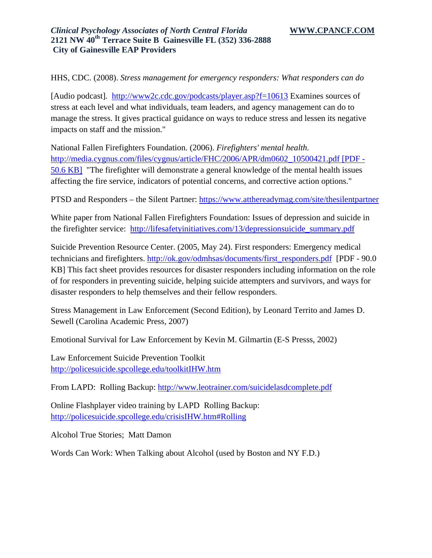HHS, CDC. (2008). *Stress management for emergency responders: What responders can do*

[Audio podcast]*.* http://www2c.cdc.gov/podcasts/player.asp?f=10613 Examines sources of stress at each level and what individuals, team leaders, and agency management can do to manage the stress. It gives practical guidance on ways to reduce stress and lessen its negative impacts on staff and the mission."

National Fallen Firefighters Foundation. (2006). *Firefighters' mental health.* http://media.cygnus.com/files/cygnus/article/FHC/2006/APR/dm0602\_10500421.pdf [PDF - 50.6 KB] "The firefighter will demonstrate a general knowledge of the mental health issues affecting the fire service, indicators of potential concerns, and corrective action options."

PTSD and Responders – the Silent Partner: https://www.atthereadymag.com/site/thesilentpartner

White paper from National Fallen Firefighters Foundation: Issues of depression and suicide in the firefighter service: http://lifesafetyinitiatives.com/13/depressionsuicide\_summary.pdf

Suicide Prevention Resource Center. (2005, May 24). First responders: Emergency medical technicians and firefighters. http://ok.gov/odmhsas/documents/first\_responders.pdf [PDF - 90.0 KB] This fact sheet provides resources for disaster responders including information on the role of for responders in preventing suicide, helping suicide attempters and survivors, and ways for disaster responders to help themselves and their fellow responders.

Stress Management in Law Enforcement (Second Edition), by Leonard Territo and James D. Sewell (Carolina Academic Press, 2007)

Emotional Survival for Law Enforcement by Kevin M. Gilmartin (E-S Presss, 2002)

Law Enforcement Suicide Prevention Toolkit http://policesuicide.spcollege.edu/toolkitIHW.htm

From LAPD: Rolling Backup: http://www.leotrainer.com/suicidelasdcomplete.pdf

Online Flashplayer video training by LAPD Rolling Backup: http://policesuicide.spcollege.edu/crisisIHW.htm#Rolling

Alcohol True Stories; Matt Damon

Words Can Work: When Talking about Alcohol (used by Boston and NY F.D.)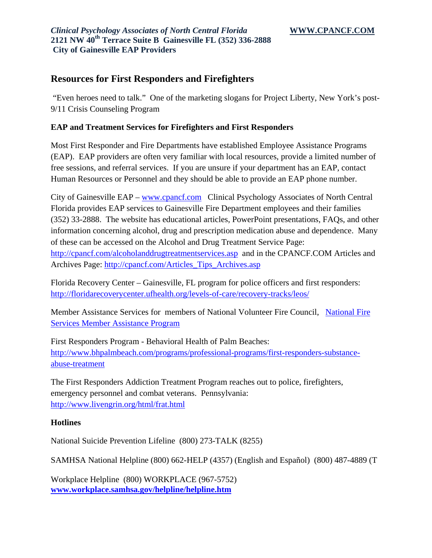# **Resources for First Responders and Firefighters**

 "Even heroes need to talk." One of the marketing slogans for Project Liberty, New York's post-9/11 Crisis Counseling Program

### **EAP and Treatment Services for Firefighters and First Responders**

Most First Responder and Fire Departments have established Employee Assistance Programs (EAP). EAP providers are often very familiar with local resources, provide a limited number of free sessions, and referral services. If you are unsure if your department has an EAP, contact Human Resources or Personnel and they should be able to provide an EAP phone number.

City of Gainesville EAP – www.cpancf.com Clinical Psychology Associates of North Central Florida provides EAP services to Gainesville Fire Department employees and their families (352) 33-2888. The website has educational articles, PowerPoint presentations, FAQs, and other information concerning alcohol, drug and prescription medication abuse and dependence. Many of these can be accessed on the Alcohol and Drug Treatment Service Page: http://cpancf.com/alcoholanddrugtreatmentservices.asp and in the CPANCF.COM Articles and Archives Page: http://cpancf.com/Articles\_Tips\_Archives.asp

Florida Recovery Center – Gainesville, FL program for police officers and first responders: http://floridarecoverycenter.ufhealth.org/levels-of-care/recovery-tracks/leos/

Member Assistance Services for members of National Volunteer Fire Council, National Fire Services Member Assistance Program

First Responders Program - Behavioral Health of Palm Beaches: http://www.bhpalmbeach.com/programs/professional-programs/first-responders-substanceabuse-treatment

The First Responders Addiction Treatment Program reaches out to police, firefighters, emergency personnel and combat veterans. Pennsylvania: http://www.livengrin.org/html/frat.html

#### **Hotlines**

National Suicide Prevention Lifeline(800) 273-TALK (8255)

SAMHSA National Helpline (800) 662-HELP (4357) (English and Español) (800) 487-4889 (T

Workplace Helpline (800) WORKPLACE (967-5752) **www.workplace.samhsa.gov/helpline/helpline.htm**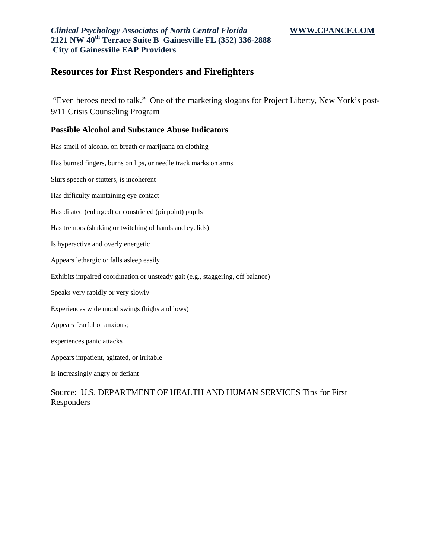## **Resources for First Responders and Firefighters**

 "Even heroes need to talk." One of the marketing slogans for Project Liberty, New York's post-9/11 Crisis Counseling Program

#### **Possible Alcohol and Substance Abuse Indicators**

Has smell of alcohol on breath or marijuana on clothing Has burned fingers, burns on lips, or needle track marks on arms Slurs speech or stutters, is incoherent Has difficulty maintaining eye contact Has dilated (enlarged) or constricted (pinpoint) pupils Has tremors (shaking or twitching of hands and eyelids) Is hyperactive and overly energetic Appears lethargic or falls asleep easily Exhibits impaired coordination or unsteady gait (e.g., staggering, off balance) Speaks very rapidly or very slowly Experiences wide mood swings (highs and lows) Appears fearful or anxious; experiences panic attacks Appears impatient, agitated, or irritable Is increasingly angry or defiant

### Source: U.S. DEPARTMENT OF HEALTH AND HUMAN SERVICES Tips for First Responders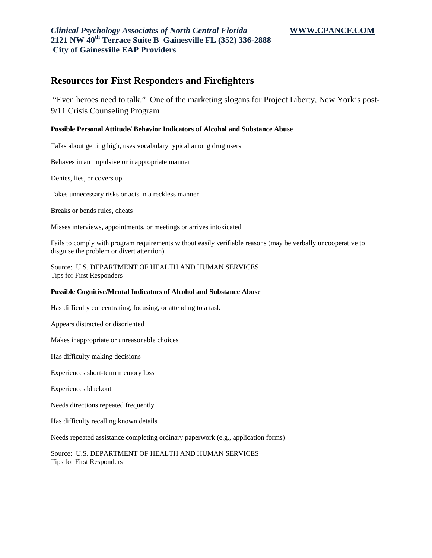## **Resources for First Responders and Firefighters**

 "Even heroes need to talk." One of the marketing slogans for Project Liberty, New York's post-9/11 Crisis Counseling Program

#### **Possible Personal Attitude/ Behavior Indicators** of **Alcohol and Substance Abuse**

Talks about getting high, uses vocabulary typical among drug users

Behaves in an impulsive or inappropriate manner

Denies, lies, or covers up

Takes unnecessary risks or acts in a reckless manner

Breaks or bends rules, cheats

Misses interviews, appointments, or meetings or arrives intoxicated

Fails to comply with program requirements without easily verifiable reasons (may be verbally uncooperative to disguise the problem or divert attention)

Source: U.S. DEPARTMENT OF HEALTH AND HUMAN SERVICES Tips for First Responders

#### **Possible Cognitive/Mental Indicators of Alcohol and Substance Abuse**

Has difficulty concentrating, focusing, or attending to a task

Appears distracted or disoriented

Makes inappropriate or unreasonable choices

Has difficulty making decisions

Experiences short-term memory loss

Experiences blackout

Needs directions repeated frequently

Has difficulty recalling known details

Needs repeated assistance completing ordinary paperwork (e.g., application forms)

Source: U.S. DEPARTMENT OF HEALTH AND HUMAN SERVICES Tips for First Responders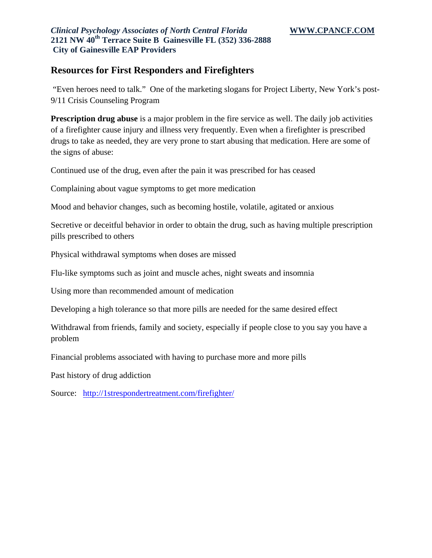## **Resources for First Responders and Firefighters**

 "Even heroes need to talk." One of the marketing slogans for Project Liberty, New York's post-9/11 Crisis Counseling Program

**Prescription drug abuse** is a major problem in the fire service as well. The daily job activities of a firefighter cause injury and illness very frequently. Even when a firefighter is prescribed drugs to take as needed, they are very prone to start abusing that medication. Here are some of the signs of abuse:

Continued use of the drug, even after the pain it was prescribed for has ceased

Complaining about vague symptoms to get more medication

Mood and behavior changes, such as becoming hostile, volatile, agitated or anxious

Secretive or deceitful behavior in order to obtain the drug, such as having multiple prescription pills prescribed to others

Physical withdrawal symptoms when doses are missed

Flu-like symptoms such as joint and muscle aches, night sweats and insomnia

Using more than recommended amount of medication

Developing a high tolerance so that more pills are needed for the same desired effect

Withdrawal from friends, family and society, especially if people close to you say you have a problem

Financial problems associated with having to purchase more and more pills

Past history of drug addiction

Source: http://1strespondertreatment.com/firefighter/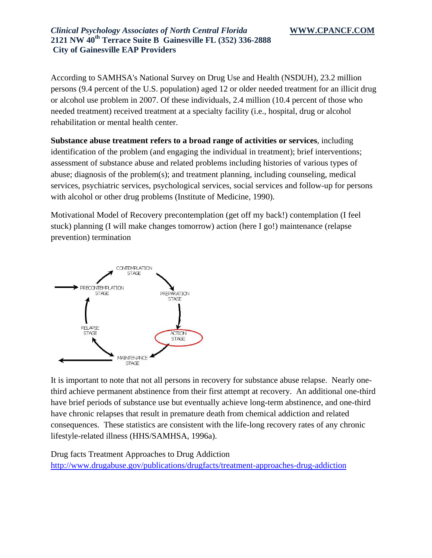According to SAMHSA's National Survey on Drug Use and Health (NSDUH), 23.2 million persons (9.4 percent of the U.S. population) aged 12 or older needed treatment for an illicit drug or alcohol use problem in 2007. Of these individuals, 2.4 million (10.4 percent of those who needed treatment) received treatment at a specialty facility (i.e., hospital, drug or alcohol rehabilitation or mental health center.

**Substance abuse treatment refers to a broad range of activities or services**, including identification of the problem (and engaging the individual in treatment); brief interventions; assessment of substance abuse and related problems including histories of various types of abuse; diagnosis of the problem(s); and treatment planning, including counseling, medical services, psychiatric services, psychological services, social services and follow-up for persons with alcohol or other drug problems (Institute of Medicine, 1990).

Motivational Model of Recovery precontemplation (get off my back!) contemplation (I feel stuck) planning (I will make changes tomorrow) action (here I go!) maintenance (relapse prevention) termination



It is important to note that not all persons in recovery for substance abuse relapse. Nearly onethird achieve permanent abstinence from their first attempt at recovery. An additional one-third have brief periods of substance use but eventually achieve long-term abstinence, and one-third have chronic relapses that result in premature death from chemical addiction and related consequences. These statistics are consistent with the life-long recovery rates of any chronic lifestyle-related illness (HHS/SAMHSA, 1996a).

Drug facts Treatment Approaches to Drug Addiction http://www.drugabuse.gov/publications/drugfacts/treatment-approaches-drug-addiction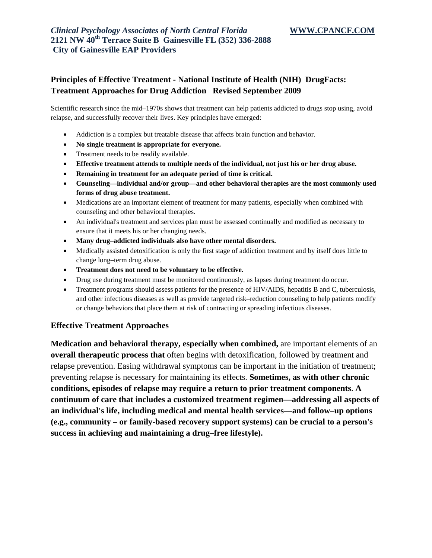## **Principles of Effective Treatment - National Institute of Health (NIH) DrugFacts: Treatment Approaches for Drug Addiction Revised September 2009**

Scientific research since the mid–1970s shows that treatment can help patients addicted to drugs stop using, avoid relapse, and successfully recover their lives. Key principles have emerged:

- Addiction is a complex but treatable disease that affects brain function and behavior.
- **No single treatment is appropriate for everyone.**
- Treatment needs to be readily available.
- **Effective treatment attends to multiple needs of the individual, not just his or her drug abuse.**
- **Remaining in treatment for an adequate period of time is critical.**
- **Counseling—individual and/or group—and other behavioral therapies are the most commonly used forms of drug abuse treatment.**
- Medications are an important element of treatment for many patients, especially when combined with counseling and other behavioral therapies.
- An individual's treatment and services plan must be assessed continually and modified as necessary to ensure that it meets his or her changing needs.
- **Many drug–addicted individuals also have other mental disorders.**
- Medically assisted detoxification is only the first stage of addiction treatment and by itself does little to change long–term drug abuse.
- **Treatment does not need to be voluntary to be effective.**
- Drug use during treatment must be monitored continuously, as lapses during treatment do occur.
- Treatment programs should assess patients for the presence of HIV/AIDS, hepatitis B and C, tuberculosis, and other infectious diseases as well as provide targeted risk–reduction counseling to help patients modify or change behaviors that place them at risk of contracting or spreading infectious diseases.

#### **Effective Treatment Approaches**

**Medication and behavioral therapy, especially when combined,** are important elements of an **overall therapeutic process that** often begins with detoxification, followed by treatment and relapse prevention. Easing withdrawal symptoms can be important in the initiation of treatment; preventing relapse is necessary for maintaining its effects. **Sometimes, as with other chronic conditions, episodes of relapse may require a return to prior treatment components**. **A continuum of care that includes a customized treatment regimen—addressing all aspects of an individual's life, including medical and mental health services—and follow–up options (e.g., community – or family-based recovery support systems) can be crucial to a person's success in achieving and maintaining a drug–free lifestyle).**